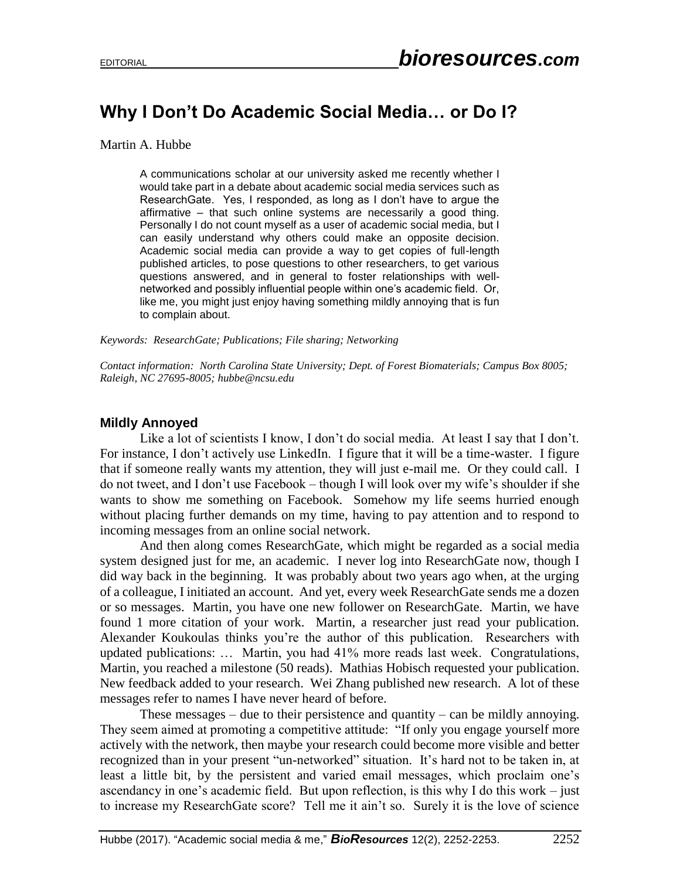## **Why I Don't Do Academic Social Media… or Do I?**

Martin A. Hubbe

A communications scholar at our university asked me recently whether I would take part in a debate about academic social media services such as ResearchGate. Yes, I responded, as long as I don't have to argue the affirmative – that such online systems are necessarily a good thing. Personally I do not count myself as a user of academic social media, but I can easily understand why others could make an opposite decision. Academic social media can provide a way to get copies of full-length published articles, to pose questions to other researchers, to get various questions answered, and in general to foster relationships with wellnetworked and possibly influential people within one's academic field. Or, like me, you might just enjoy having something mildly annoying that is fun to complain about.

*Keywords: ResearchGate; Publications; File sharing; Networking*

*Contact information: North Carolina State University; Dept. of Forest Biomaterials; Campus Box 8005; Raleigh, NC 27695-8005; hubbe@ncsu.edu*

## **Mildly Annoyed**

Like a lot of scientists I know, I don't do social media. At least I say that I don't. For instance, I don't actively use LinkedIn. I figure that it will be a time-waster. I figure that if someone really wants my attention, they will just e-mail me. Or they could call. I do not tweet, and I don't use Facebook – though I will look over my wife's shoulder if she wants to show me something on Facebook. Somehow my life seems hurried enough without placing further demands on my time, having to pay attention and to respond to incoming messages from an online social network.

And then along comes ResearchGate, which might be regarded as a social media system designed just for me, an academic. I never log into ResearchGate now, though I did way back in the beginning. It was probably about two years ago when, at the urging of a colleague, I initiated an account. And yet, every week ResearchGate sends me a dozen or so messages. Martin, you have one new follower on ResearchGate. Martin, we have found 1 more citation of your work. Martin, a researcher just read your publication. Alexander Koukoulas thinks you're the author of this publication. Researchers with updated publications: … Martin, you had 41% more reads last week. Congratulations, Martin, you reached a milestone (50 reads). Mathias Hobisch requested your publication. New feedback added to your research. Wei Zhang published new research. A lot of these messages refer to names I have never heard of before.

These messages – due to their persistence and quantity – can be mildly annoying. They seem aimed at promoting a competitive attitude: "If only you engage yourself more actively with the network, then maybe your research could become more visible and better recognized than in your present "un-networked" situation. It's hard not to be taken in, at least a little bit, by the persistent and varied email messages, which proclaim one's ascendancy in one's academic field. But upon reflection, is this why I do this work – just to increase my ResearchGate score? Tell me it ain't so. Surely it is the love of science